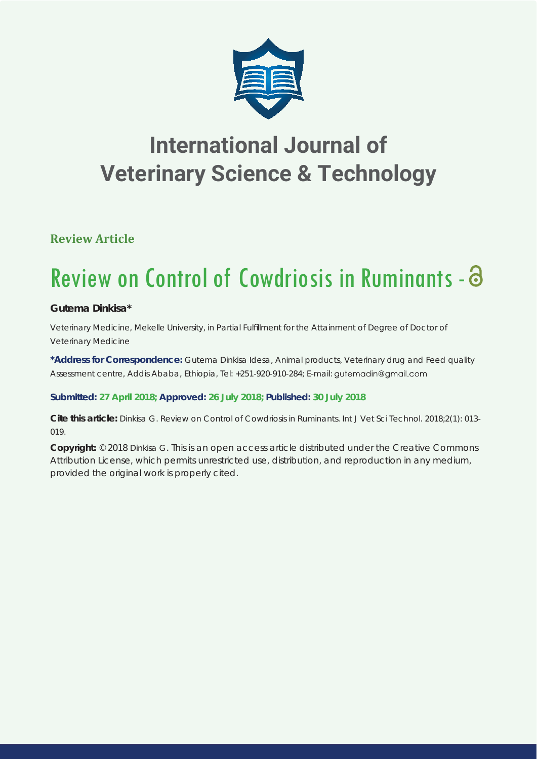

## **International Journal of Veterinary Science & Technology**

## **Review Article**

# Review on Control of Cowdriosis in Ruminants -

### **Gutema Dinkisa\***

*Veterinary Medicine, Mekelle University, in Partial Fulfi llment for the Attainment of Degree of Doctor of Veterinary Medicine*

**\*Address for Correspondence:** Gutema Dinkisa Idesa, Animal products, Veterinary drug and Feed quality Assessment centre, Addis Ababa, Ethiopia, Tel: +251-920-910-284; E-mail: gutemadin@gmail.com

#### **Submitted: 27 April 2018; Approved: 26 July 2018; Published: 30 July 2018**

**Cite this article:** Dinkisa G. Review on Control of Cowdriosis in Ruminants. Int J Vet Sci Technol. 2018;2(1): 013- 019.

**Copyright:** © 2018 Dinkisa G. This is an open access article distributed under the Creative Commons Attribution License, which permits unrestricted use, distribution, and reproduction in any medium, provided the original work is properly cited.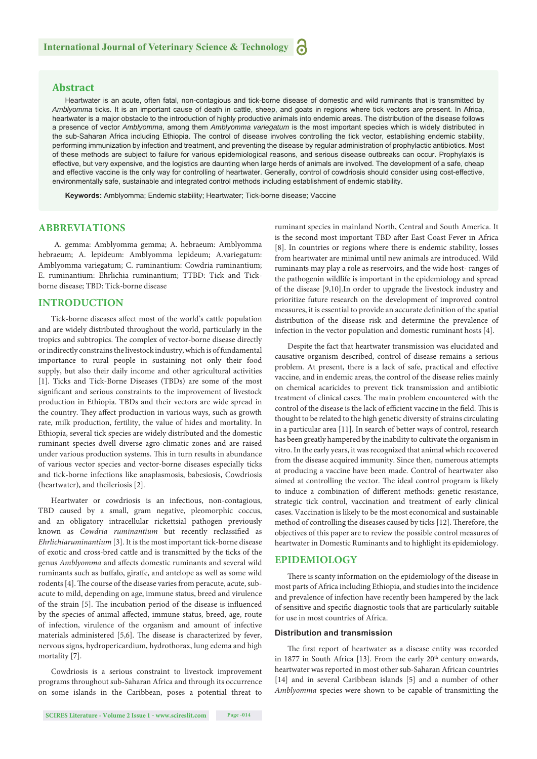#### **Abstract**

Heartwater is an acute, often fatal, non-contagious and tick-borne disease of domestic and wild ruminants that is transmitted by *Amblyomma* ticks. It is an important cause of death in cattle, sheep, and goats in regions where tick vectors are present. In Africa, heartwater is a major obstacle to the introduction of highly productive animals into endemic areas. The distribution of the disease follows a presence of vector *Amblyomma*, among them *Amblyomma variegatum* is the most important species which is widely distributed in the sub-Saharan Africa including Ethiopia. The control of disease involves controlling the tick vector, establishing endemic stability, performing immunization by infection and treatment, and preventing the disease by regular administration of prophylactic antibiotics. Most of these methods are subject to failure for various epidemiological reasons, and serious disease outbreaks can occur. Prophylaxis is effective, but very expensive, and the logistics are daunting when large herds of animals are involved. The development of a safe, cheap and effective vaccine is the only way for controlling of heartwater. Generally, control of cowdriosis should consider using cost-effective, environmentally safe, sustainable and integrated control methods including establishment of endemic stability.

**Keywords:** Amblyomma; Endemic stability; Heartwater; Tick-borne disease; Vaccine

#### **ABBREVIATIONS**

A. gemma: Amblyomma gemma; A. hebraeum: Amblyomma hebraeum; A. lepideum: Amblyomma lepideum; A.variegatum: Amblyomma variegatum; C. ruminantium: Cowdria ruminantium; E. ruminantium: Ehrlichia ruminantium; TTBD: Tick and Tickborne disease; TBD: Tick-borne disease

#### **INTRODUCTION**

Tick-borne diseases affect most of the world's cattle population and are widely distributed throughout the world, particularly in the tropics and subtropics. The complex of vector-borne disease directly or indirectly constrains the livestock industry, which is of fundamental importance to rural people in sustaining not only their food supply, but also their daily income and other agricultural activities [1]. Ticks and Tick-Borne Diseases (TBDs) are some of the most significant and serious constraints to the improvement of livestock production in Ethiopia. TBDs and their vectors are wide spread in the country. They affect production in various ways, such as growth rate, milk production, fertility, the value of hides and mortality. In Ethiopia, several tick species are widely distributed and the domestic ruminant species dwell diverse agro-climatic zones and are raised under various production systems. This in turn results in abundance of various vector species and vector-borne diseases especially ticks and tick-borne infections like anaplasmosis, babesiosis, Cowdriosis (heartwater), and theileriosis [2].

Heartwater or cowdriosis is an infectious, non-contagious, TBD caused by a small, gram negative, pleomorphic coccus, and an obligatory intracellular rickettsial pathogen previously known as *Cowdria ruminantium* but recently reclassified as *Ehrlichiaruminantium* [3]. It is the most important tick-borne disease of exotic and cross-bred cattle and is transmitted by the ticks of the genus *Amblyomma* and affects domestic ruminants and several wild ruminants such as buffalo, giraffe, and antelope as well as some wild rodents [4]. The course of the disease varies from peracute, acute, subacute to mild, depending on age, immune status, breed and virulence of the strain [5]. The incubation period of the disease is influenced by the species of animal affected, immune status, breed, age, route of infection, virulence of the organism and amount of infective materials administered [5,6]. The disease is characterized by fever, nervous signs, hydropericardium, hydrothorax, lung edema and high mortality [7].

Cowdriosis is a serious constraint to livestock improvement programs throughout sub-Saharan Africa and through its occurrence on some islands in the Caribbean, poses a potential threat to ruminant species in mainland North, Central and South America. It is the second most important TBD after East Coast Fever in Africa [8]. In countries or regions where there is endemic stability, losses from heartwater are minimal until new animals are introduced. Wild ruminants may play a role as reservoirs, and the wide host- ranges of the pathogenin wildlife is important in the epidemiology and spread of the disease [9,10].In order to upgrade the livestock industry and prioritize future research on the development of improved control measures, it is essential to provide an accurate definition of the spatial distribution of the disease risk and determine the prevalence of infection in the vector population and domestic ruminant hosts [4].

Despite the fact that heartwater transmission was elucidated and causative organism described, control of disease remains a serious problem. At present, there is a lack of safe, practical and effective vaccine, and in endemic areas, the control of the disease relies mainly on chemical acaricides to prevent tick transmission and antibiotic treatment of clinical cases. The main problem encountered with the control of the disease is the lack of efficient vaccine in the field. This is thought to be related to the high genetic diversity of strains circulating in a particular area [11]. In search of better ways of control, research has been greatly hampered by the inability to cultivate the organism in vitro. In the early years, it was recognized that animal which recovered from the disease acquired immunity. Since then, numerous attempts at producing a vaccine have been made. Control of heartwater also aimed at controlling the vector. The ideal control program is likely to induce a combination of different methods: genetic resistance, strategic tick control, vaccination and treatment of early clinical cases. Vaccination is likely to be the most economical and sustainable method of controlling the diseases caused by ticks [12]. Therefore, the objectives of this paper are to review the possible control measures of heartwater in Domestic Ruminants and to highlight its epidemiology.

#### **EPIDEMIOLOGY**

There is scanty information on the epidemiology of the disease in most parts of Africa including Ethiopia, and studies into the incidence and prevalence of infection have recently been hampered by the lack of sensitive and specific diagnostic tools that are particularly suitable for use in most countries of Africa.

#### **Distribution and transmission**

The first report of heartwater as a disease entity was recorded in 1877 in South Africa [13]. From the early  $20<sup>th</sup>$  century onwards, heartwater was reported in most other sub-Saharan African countries [14] and in several Caribbean islands [5] and a number of other *Amblyomma* species were shown to be capable of transmitting the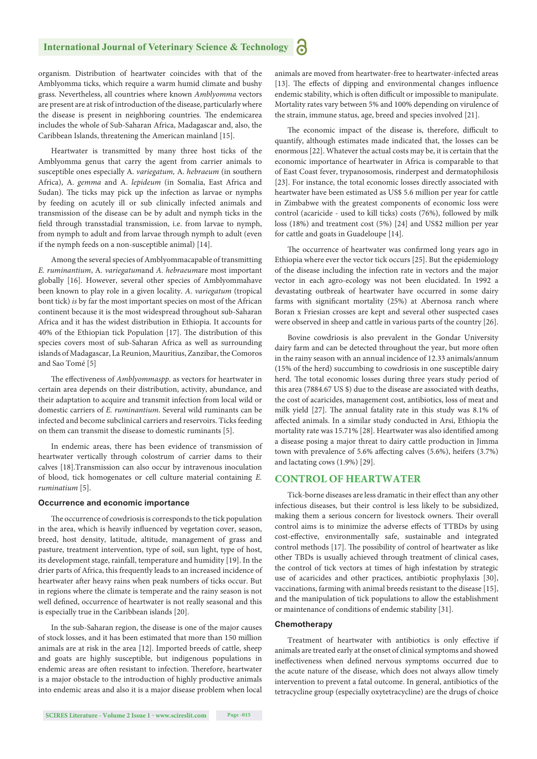organism. Distribution of heartwater coincides with that of the Amblyomma ticks, which require a warm humid climate and bushy grass. Nevertheless, all countries where known *Amblyomma* vectors are present are at risk of introduction of the disease, particularly where the disease is present in neighboring countries. The endemicarea includes the whole of Sub-Saharan Africa, Madagascar and, also, the Caribbean Islands, threatening the American mainland [15].

Heartwater is transmitted by many three host ticks of the Amblyomma genus that carry the agent from carrier animals to susceptible ones especially A. *variegatum,* A. *hebraeum* (in southern Africa), A. *gemma* and A. *lepideum* (in Somalia, East Africa and Sudan). The ticks may pick up the infection as larvae or nymphs by feeding on acutely ill or sub clinically infected animals and transmission of the disease can be by adult and nymph ticks in the field through transstadial transmission, i.e. from larvae to nymph, from nymph to adult and from larvae through nymph to adult (even if the nymph feeds on a non-susceptible animal) [14].

Among the several species of Amblyommacapable of transmitting *E. ruminantium*, A*. variegatum*and *A. hebraeum*are most important globally [16]. However, several other species of Amblyommahave been known to play role in a given locality. *A. variegatum* (tropical bont tick) *is* by far the most important species on most of the African continent because it is the most widespread throughout sub-Saharan Africa and it has the widest distribution in Ethiopia. It accounts for 40% of the Ethiopian tick Population [17]. The distribution of this species covers most of sub-Saharan Africa as well as surrounding islands of Madagascar, La Reunion, Mauritius, Zanzibar, the Comoros and Sao Tomé [5]

The effectiveness of *Amblyommaspp*. as vectors for heartwater in certain area depends on their distribution, activity, abundance, and their adaptation to acquire and transmit infection from local wild or domestic carriers of *E. ruminantium*. Several wild ruminants can be infected and become subclinical carriers and reservoirs. Ticks feeding on them can transmit the disease to domestic ruminants [5].

In endemic areas, there has been evidence of transmission of heartwater vertically through colostrum of carrier dams to their calves [18].Transmission can also occur by intravenous inoculation of blood, tick homogenates or cell culture material containing *E. ruminatium* [5].

#### **Occurrence and economic importance**

The occurrence of cowdriosis is corresponds to the tick population in the area, which is heavily influenced by vegetation cover, season, breed, host density, latitude, altitude, management of grass and pasture, treatment intervention, type of soil, sun light, type of host, its development stage, rainfall, temperature and humidity [19]. In the drier parts of Africa, this frequently leads to an increased incidence of heartwater after heavy rains when peak numbers of ticks occur. But in regions where the climate is temperate and the rainy season is not well defined, occurrence of heartwater is not really seasonal and this is especially true in the Caribbean islands [20].

In the sub-Saharan region, the disease is one of the major causes of stock losses, and it has been estimated that more than 150 million animals are at risk in the area [12]. Imported breeds of cattle, sheep and goats are highly susceptible, but indigenous populations in endemic areas are often resistant to infection. Therefore, heartwater is a major obstacle to the introduction of highly productive animals into endemic areas and also it is a major disease problem when local animals are moved from heartwater-free to heartwater-infected areas [13]. The effects of dipping and environmental changes influence endemic stability, which is often difficult or impossible to manipulate. Mortality rates vary between 5% and 100% depending on virulence of the strain, immune status, age, breed and species involved [21].

The economic impact of the disease is, therefore, difficult to quantify, although estimates made indicated that, the losses can be enormous [22]. Whatever the actual costs may be, it is certain that the economic importance of heartwater in Africa is comparable to that of East Coast fever, trypanosomosis, rinderpest and dermatophilosis [23]. For instance, the total economic losses directly associated with heartwater have been estimated as US\$ 5.6 million per year for cattle in Zimbabwe with the greatest components of economic loss were control (acaricide - used to kill ticks) costs (76%), followed by milk loss (18%) and treatment cost (5%) [24] and US\$2 million per year for cattle and goats in Guadeloupe [14].

The occurrence of heartwater was confirmed long years ago in Ethiopia where ever the vector tick occurs [25]. But the epidemiology of the disease including the infection rate in vectors and the major vector in each agro-ecology was not been elucidated. In 1992 a devastating outbreak of heartwater have occurred in some dairy farms with significant mortality (25%) at Abernosa ranch where Boran x Friesian crosses are kept and several other suspected cases were observed in sheep and cattle in various parts of the country [26].

Bovine cowdriosis is also prevalent in the Gondar University dairy farm and can be detected throughout the year, but more often in the rainy season with an annual incidence of 12.33 animals/annum (15% of the herd) succumbing to cowdriosis in one susceptible dairy herd. The total economic losses during three years study period of this area (7884.67 US \$) due to the disease are associated with deaths, the cost of acaricides, management cost, antibiotics, loss of meat and milk yield [27]. The annual fatality rate in this study was 8.1% of affected animals. In a similar study conducted in Arsi, Ethiopia the mortality rate was 15.71% [28]. Heartwater was also identified among a disease posing a major threat to dairy cattle production in Jimma town with prevalence of 5.6% affecting calves (5.6%), heifers (3.7%) and lactating cows (1.9%) [29].

#### **CONTROL OF HEARTWATER**

Tick-borne diseases are less dramatic in their effect than any other infectious diseases, but their control is less likely to be subsidized, making them a serious concern for livestock owners. Their overall control aims is to minimize the adverse effects of TTBDs by using cost-effective, environmentally safe, sustainable and integrated control methods [17]. The possibility of control of heartwater as like other TBDs is usually achieved through treatment of clinical cases, the control of tick vectors at times of high infestation by strategic use of acaricides and other practices, antibiotic prophylaxis [30], vaccinations, farming with animal breeds resistant to the disease [15], and the manipulation of tick populations to allow the establishment or maintenance of conditions of endemic stability [31].

#### **Chemotherapy**

Treatment of heartwater with antibiotics is only effective if animals are treated early at the onset of clinical symptoms and showed ineffectiveness when defined nervous symptoms occurred due to the acute nature of the disease, which does not always allow timely intervention to prevent a fatal outcome. In general, antibiotics of the tetracycline group (especially oxytetracycline) are the drugs of choice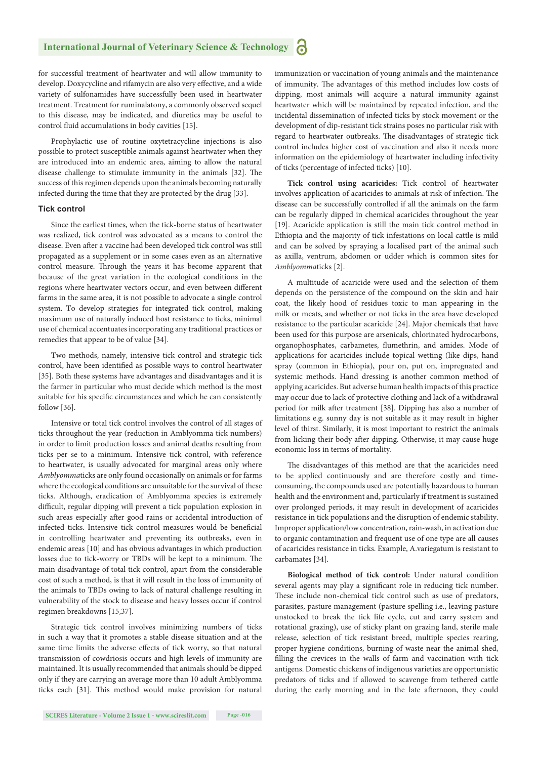for successful treatment of heartwater and will allow immunity to develop. Doxycycline and rifamycin are also very effective, and a wide variety of sulfonamides have successfully been used in heartwater treatment. Treatment for ruminalatony, a commonly observed sequel to this disease, may be indicated, and diuretics may be useful to control fluid accumulations in body cavities [15].

Prophylactic use of routine oxytetracycline injections is also possible to protect susceptible animals against heartwater when they are introduced into an endemic area, aiming to allow the natural disease challenge to stimulate immunity in the animals [32]. The success of this regimen depends upon the animals becoming naturally infected during the time that they are protected by the drug [33].

#### **Tick control**

Since the earliest times, when the tick-borne status of heartwater was realized, tick control was advocated as a means to control the disease. Even after a vaccine had been developed tick control was still propagated as a supplement or in some cases even as an alternative control measure. Through the years it has become apparent that because of the great variation in the ecological conditions in the regions where heartwater vectors occur, and even between different farms in the same area, it is not possible to advocate a single control system. To develop strategies for integrated tick control, making maximum use of naturally induced host resistance to ticks, minimal use of chemical accentuates incorporating any traditional practices or remedies that appear to be of value [34].

Two methods, namely, intensive tick control and strategic tick control, have been identified as possible ways to control heartwater [35]. Both these systems have advantages and disadvantages and it is the farmer in particular who must decide which method is the most suitable for his specific circumstances and which he can consistently follow [36].

Intensive or total tick control involves the control of all stages of ticks throughout the year (reduction in Amblyomma tick numbers) in order to limit production losses and animal deaths resulting from ticks per se to a minimum. Intensive tick control, with reference to heartwater, is usually advocated for marginal areas only where *Amblyomma*ticks are only found occasionally on animals or for farms where the ecological conditions are unsuitable for the survival of these ticks. Although, eradication of Amblyomma species is extremely difficult, regular dipping will prevent a tick population explosion in such areas especially after good rains or accidental introduction of infected ticks. Intensive tick control measures would be beneficial in controlling heartwater and preventing its outbreaks, even in endemic areas [10] and has obvious advantages in which production losses due to tick-worry or TBDs will be kept to a minimum. The main disadvantage of total tick control, apart from the considerable cost of such a method, is that it will result in the loss of immunity of the animals to TBDs owing to lack of natural challenge resulting in vulnerability of the stock to disease and heavy losses occur if control regimen breakdowns [15,37].

Strategic tick control involves minimizing numbers of ticks in such a way that it promotes a stable disease situation and at the same time limits the adverse effects of tick worry, so that natural transmission of cowdriosis occurs and high levels of immunity are maintained. It is usually recommended that animals should be dipped only if they are carrying an average more than 10 adult Amblyomma ticks each [31]. This method would make provision for natural immunization or vaccination of young animals and the maintenance of immunity. The advantages of this method includes low costs of dipping, most animals will acquire a natural immunity against heartwater which will be maintained by repeated infection, and the incidental dissemination of infected ticks by stock movement or the development of dip-resistant tick strains poses no particular risk with regard to heartwater outbreaks. The disadvantages of strategic tick control includes higher cost of vaccination and also it needs more information on the epidemiology of heartwater including infectivity of ticks (percentage of infected ticks) [10].

**Tick control using acaricides:** Tick control of heartwater involves application of acaricides to animals at risk of infection. The disease can be successfully controlled if all the animals on the farm can be regularly dipped in chemical acaricides throughout the year [19]. Acaricide application is still the main tick control method in Ethiopia and the majority of tick infestations on local cattle is mild and can be solved by spraying a localised part of the animal such as axilla, ventrum, abdomen or udder which is common sites for *Amblyomma*ticks [2].

A multitude of acaricide were used and the selection of them depends on the persistence of the compound on the skin and hair coat, the likely hood of residues toxic to man appearing in the milk or meats, and whether or not ticks in the area have developed resistance to the particular acaricide [24]. Major chemicals that have been used for this purpose are arsenicals, chlorinated hydrocarbons, organophosphates, carbametes, flumethrin, and amides. Mode of applications for acaricides include topical wetting (like dips, hand spray (common in Ethiopia), pour on, put on, impregnated and systemic methods. Hand dressing is another common method of applying acaricides. But adverse human health impacts of this practice may occur due to lack of protective clothing and lack of a withdrawal period for milk after treatment [38]. Dipping has also a number of limitations e.g. sunny day is not suitable as it may result in higher level of thirst. Similarly, it is most important to restrict the animals from licking their body after dipping. Otherwise, it may cause huge economic loss in terms of mortality.

The disadvantages of this method are that the acaricides need to be applied continuously and are therefore costly and timeconsuming, the compounds used are potentially hazardous to human health and the environment and, particularly if treatment is sustained over prolonged periods, it may result in development of acaricides resistance in tick populations and the disruption of endemic stability. Improper application/low concentration, rain-wash, in activation due to organic contamination and frequent use of one type are all causes of acaricides resistance in ticks. Example, A.variegatum is resistant to carbamates [34].

**Biological method of tick control:** Under natural condition several agents may play a significant role in reducing tick number. These include non-chemical tick control such as use of predators, parasites, pasture management (pasture spelling i.e., leaving pasture unstocked to break the tick life cycle, cut and carry system and rotational grazing), use of sticky plant on grazing land, sterile male release, selection of tick resistant breed, multiple species rearing, proper hygiene conditions, burning of waste near the animal shed, filling the crevices in the walls of farm and vaccination with tick antigens. Domestic chickens of indigenous varieties are opportunistic predators of ticks and if allowed to scavenge from tethered cattle during the early morning and in the late afternoon, they could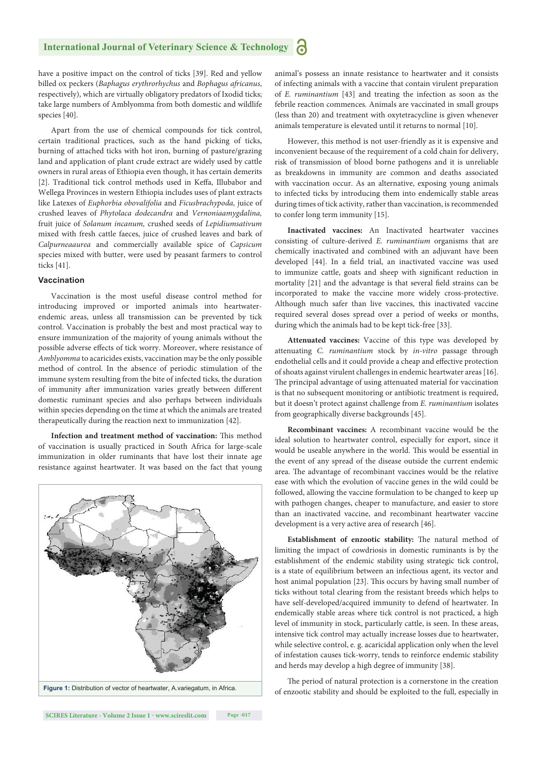have a positive impact on the control of ticks [39]. Red and yellow billed ox peckers (*Baphagus erythrorhychus* and *Bophagus africanus*, respectively), which are virtually obligatory predators of Ixodid ticks; take large numbers of Amblyomma from both domestic and wildlife species [40].

Apart from the use of chemical compounds for tick control, certain traditional practices, such as the hand picking of ticks, burning of attached ticks with hot iron, burning of pasture/grazing land and application of plant crude extract are widely used by cattle owners in rural areas of Ethiopia even though, it has certain demerits [2]. Traditional tick control methods used in Keffa, Illubabor and Wellega Provinces in western Ethiopia includes uses of plant extracts like Latexes of *Euphorbia obovalifolia* and *Ficusbrachypoda,* juice of crushed leaves of *Phytolaca dodecandra* and *Vernoniaamygdalina,*  fruit juice of *Solanum incanum,* crushed seeds of *Lepidiumsativum*  mixed with fresh cattle faeces, juice of crushed leaves and bark of *Calpurneaaurea* and commercially available spice of *Capsicum*  species mixed with butter, were used by peasant farmers to control ticks [41].

#### **Vaccination**

Vaccination is the most useful disease control method for introducing improved or imported animals into heartwaterendemic areas, unless all transmission can be prevented by tick control. Vaccination is probably the best and most practical way to ensure immunization of the majority of young animals without the possible adverse effects of tick worry. Moreover, where resistance of *Amblyomma* to acaricides exists, vaccination may be the only possible method of control. In the absence of periodic stimulation of the immune system resulting from the bite of infected ticks, the duration of immunity after immunization varies greatly between different domestic ruminant species and also perhaps between individuals within species depending on the time at which the animals are treated therapeutically during the reaction next to immunization [42].

**Infection and treatment method of vaccination:** This method of vaccination is usually practiced in South Africa for large-scale immunization in older ruminants that have lost their innate age resistance against heartwater. It was based on the fact that young



animal's possess an innate resistance to heartwater and it consists of infecting animals with a vaccine that contain virulent preparation of *E. ruminantium* [43] and treating the infection as soon as the febrile reaction commences. Animals are vaccinated in small groups (less than 20) and treatment with oxytetracycline is given whenever animals temperature is elevated until it returns to normal [10].

However, this method is not user-friendly as it is expensive and inconvenient because of the requirement of a cold chain for delivery, risk of transmission of blood borne pathogens and it is unreliable as breakdowns in immunity are common and deaths associated with vaccination occur. As an alternative, exposing young animals to infected ticks by introducing them into endemically stable areas during times of tick activity, rather than vaccination, is recommended to confer long term immunity [15].

**Inactivated vaccines:** An Inactivated heartwater vaccines consisting of culture-derived *E. ruminantium* organisms that are chemically inactivated and combined with an adjuvant have been developed [44]. In a field trial, an inactivated vaccine was used to immunize cattle, goats and sheep with significant reduction in mortality [21] and the advantage is that several field strains can be incorporated to make the vaccine more widely cross-protective. Although much safer than live vaccines, this inactivated vaccine required several doses spread over a period of weeks or months, during which the animals had to be kept tick-free [33].

**Attenuated vaccines:** Vaccine of this type was developed by attenuating *C. ruminantium* stock by *in-vitro* passage through endothelial cells and it could provide a cheap and effective protection of shoats against virulent challenges in endemic heartwater areas [16]. The principal advantage of using attenuated material for vaccination is that no subsequent monitoring or antibiotic treatment is required, but it doesn't protect against challenge from *E. ruminantium* isolates from geographically diverse backgrounds [45].

**Recombinant vaccines:** A recombinant vaccine would be the ideal solution to heartwater control, especially for export, since it would be useable anywhere in the world. This would be essential in the event of any spread of the disease outside the current endemic area. The advantage of recombinant vaccines would be the relative ease with which the evolution of vaccine genes in the wild could be followed, allowing the vaccine formulation to be changed to keep up with pathogen changes, cheaper to manufacture, and easier to store than an inactivated vaccine, and recombinant heartwater vaccine development is a very active area of research [46].

**Establishment of enzootic stability:** The natural method of limiting the impact of cowdriosis in domestic ruminants is by the establishment of the endemic stability using strategic tick control, is a state of equilibrium between an infectious agent, its vector and host animal population [23]. This occurs by having small number of ticks without total clearing from the resistant breeds which helps to have self-developed/acquired immunity to defend of heartwater. In endemically stable areas where tick control is not practiced, a high level of immunity in stock, particularly cattle, is seen. In these areas, intensive tick control may actually increase losses due to heartwater, while selective control, e. g. acaricidal application only when the level of infestation causes tick-worry, tends to reinforce endemic stability and herds may develop a high degree of immunity [38].

The period of natural protection is a cornerstone in the creation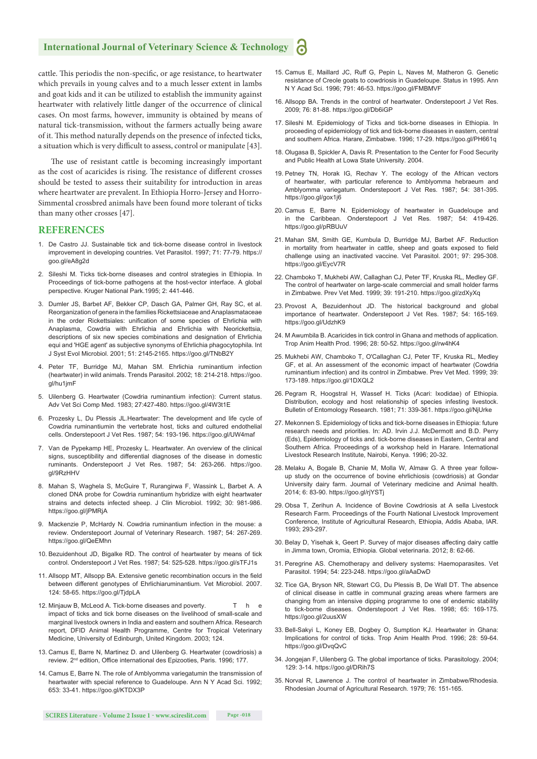cattle. This periodis the non-specific, or age resistance, to heartwater which prevails in young calves and to a much lesser extent in lambs and goat kids and it can be utilized to establish the immunity against heartwater with relatively little danger of the occurrence of clinical cases. On most farms, however, immunity is obtained by means of natural tick-transmission, without the farmers actually being aware of it. This method naturally depends on the presence of infected ticks, a situation which is very difficult to assess, control or manipulate [43].

The use of resistant cattle is becoming increasingly important as the cost of acaricides is rising. The resistance of different crosses should be tested to assess their suitability for introduction in areas where heartwater are prevalent. In Ethiopia Horro-Jersey and Horro-Simmental crossbred animals have been found more tolerant of ticks than many other crosses [47].

#### **REFERENCES**

- 1. De Castro JJ. Sustainable tick and tick-borne disease control in livestock improvement in developing countries. Vet Parasitol. 1997; 71: 77-79. https:// goo.gl/eA8g2d
- 2. Sileshi M. Ticks tick-borne diseases and control strategies in Ethiopia. In Proceedings of tick-borne pathogens at the host-vector interface. A global perspective. Kruger National Park.1995; 2: 441-446.
- 3. Dumler JS, Barbet AF, Bekker CP, Dasch GA, Palmer GH, Ray SC, et al. Reorganization of genera in the families Rickettsiaceae and Anaplasmataceae in the order Rickettsiales: unification of some species of Ehrlichia with Anaplasma, Cowdria with Ehrlichia and Ehrlichia with Neorickettsia, descriptions of six new species combinations and designation of Ehrlichia equi and 'HGE agent' as subjective synonyms of Ehrlichia phagocytophila. Int J Syst Evol Microbiol. 2001; 51: 2145-2165. https://goo.gl/TNbB2Y
- 4. Peter TF, Burridge MJ, Mahan SM. Ehrlichia ruminantium infection (heartwater) in wild animals. Trends Parasitol. 2002; 18: 214-218. https://goo. gl/hu1jmF
- 5. Uilenberg G. Heartwater (Cowdria ruminantium infection): Current status. Adv Vet Sci Comp Med. 1983; 27:427-480. https://goo.gl/4W3t1E
- 6. Prozesky L, Du Plessis JL.Heartwater: The development and life cycle of Cowdria ruminantiumin the vertebrate host, ticks and cultured endothelial cells. Onderstepoort J Vet Res. 1987; 54: 193-196. https://goo.gl/UW4maf
- 7. Van de Pypekamp HE, Prozesky L. Heartwater. An overview of the clinical signs, susceptibility and differential diagnoses of the disease in domestic ruminants. Onderstepoort J Vet Res. 1987; 54: 263-266. https://goo. gl/9RzHHV
- 8. Mahan S, Waghela S, McGuire T, Rurangirwa F, Wassink L, Barbet A. A cloned DNA probe for Cowdria ruminantium hybridize with eight heartwater strains and detects infected sheep. J Clin Microbiol. 1992; 30: 981-986. https://goo.gl/jPMRjA
- 9. Mackenzie P, McHardy N. Cowdria ruminantium infection in the mouse: a review. Onderstepoort Journal of Veterinary Research. 1987; 54: 267-269. https://goo.gl/QeEMhn
- 10. Bezuidenhout JD, Bigalke RD. The control of heartwater by means of tick control. Onderstepoort J Vet Res. 1987; 54: 525-528. https://goo.gl/sTFJ1s
- 11. Allsopp MT, Allsopp BA. Extensive genetic recombination occurs in the field between different genotypes of Ehrlichiaruminantium. Vet Microbiol. 2007. 124: 58-65. https://goo.gl/TjdpLA
- 12. Minjauw B, McLeod A. Tick-borne diseases and poverty. The e impact of ticks and tick borne diseases on the livelihood of small-scale and marginal livestock owners in India and eastern and southern Africa. Research report, DFID Animal Health Programme, Centre for Tropical Veterinary Medicine, University of Edinburgh, United Kingdom. 2003; 124.
- 13. Camus E, Barre N, Martinez D. and Uilenberg G. Heartwater (cowdriosis) a review. 2<sup>nd</sup> edition, Office international des Epizooties, Paris. 1996; 177.
- 14. Camus E, Barre N. The role of Amblyomma variegatumin the transmission of heartwater with special reference to Guadeloupe. Ann N Y Acad Sci. 1992; 653: 33-41. https://goo.gl/KTDX3P
- 15. Camus E, Maillard JC, Ruff G, Pepin L, Naves M, Matheron G. Genetic resistance of Creole goats to cowdriosis in Guadeloupe. Status in 1995. Ann N Y Acad Sci. 1996; 791: 46-53. https://goo.gl/FMBMVF
- 16. Allsopp BA. Trends in the control of heartwater. Onderstepoort J Vet Res. 2009; 76: 81-88. https://goo.gl/Db6iGP
- 17. Sileshi M. Epidemiology of Ticks and tick-borne diseases in Ethiopia. In proceeding of epidemiology of tick and tick-borne diseases in eastern, central and southern Africa. Harare, Zimbabwe. 1996; 17-29. https://goo.gl/PH661q
- 18. Olugasa B, Spickler A, Davis R. Presentation to the Center for Food Security and Public Health at Lowa State University. 2004.
- 19. Petney TN, Horak IG, Rechav Y. The ecology of the African vectors of heartwater, with particular reference to Amblyomma hebraeum and Amblyomma variegatum. Onderstepoort J Vet Res. 1987; 54: 381-395. https://goo.gl/gox1j6
- 20. Camus E, Barre N. Epidemiology of heartwater in Guadeloupe and in the Caribbean. Onderstepoort J Vet Res. 1987; 54: 419-426. https://goo.gl/pRBUuV
- 21. Mahan SM, Smith GE, Kumbula D, Burridge MJ, Barbet AF. Reduction in mortality from heartwater in cattle, sheep and goats exposed to field challenge using an inactivated vaccine. Vet Parasitol. 2001; 97: 295-308. https://goo.gl/EycV7R
- 22. Chamboko T, Mukhebi AW, Callaghan CJ, Peter TF, Kruska RL, Medley GF. The control of heartwater on large-scale commercial and small holder farms in Zimbabwe. Prev Vet Med. 1999; 39: 191-210. https://goo.gl/zdXyXq
- 23. Provost A, Bezuidenhout JD. The historical background and global importance of heartwater. Onderstepoort J Vet Res. 1987; 54: 165-169. https://goo.gl/UdzhK9
- 24. M Awumbila B. Acaricides in tick control in Ghana and methods of application. Trop Anim Health Prod. 1996; 28: 50-52. https://goo.gl/rw4hK4
- 25. Mukhebi AW, Chamboko T, O'Callaghan CJ, Peter TF, Kruska RL, Medley GF, et al. An assessment of the economic impact of heartwater (Cowdria ruminantium infection) and its control in Zimbabwe. Prev Vet Med. 1999; 39: 173-189. https://goo.gl/1DXQL2
- 26. Pegram R, Hoogstral H, Wassef H. Ticks (Acari: Ixodidae) of Ethiopia. Distribution, ecology and host relationship of species infesting livestock. Bulletin of Entomology Research. 1981; 71: 339-361. https://goo.gl/NjUrke
- 27. Mekonnen S. Epidemiology of ticks and tick-borne diseases in Ethiopia: future research needs and priorities. In: AD. Irvin J.J. McDermott and B.D. Perry (Eds), Epidemiology of ticks and. tick-borne diseases in Eastern, Central and Southern Africa. Proceedings of a workshop held in Harare. International Livestock Research Institute, Nairobi, Kenya. 1996; 20-32.
- 28. Melaku A, Bogale B, Chanie M, Molla W, Almaw G. A three year followup study on the occurrence of bovine ehrlichiosis (cowdriosis) at Gondar University dairy farm. Journal of Veterinary medicine and Animal health. 2014; 6: 83-90. https://goo.gl/rjYSTj
- 29. Obsa T, Zerihun A. Incidence of Bovine Cowdriosis at A sella Livestock Research Farm. Proceedings of the Fourth National Livestock Improvement Conference, Institute of Agricultural Research, Ethiopia, Addis Ababa, IAR. 1993; 293-297.
- 30. Belay D, Yisehak k, Geert P. Survey of major diseases affecting dairy cattle in Jimma town, Oromia, Ethiopia. Global veterinaria. 2012; 8: 62-66.
- 31. Peregrine AS. Chemotherapy and delivery systems: Haemoparasites. Vet Parasitol. 1994; 54: 223-248. https://goo.gl/aAaDwD
- 32. Tice GA, Bryson NR, Stewart CG, Du Plessis B, De Wall DT. The absence of clinical disease in cattle in communal grazing areas where farmers are changing from an intensive dipping programme to one of endemic stability to tick-borne diseases. Onderstepoort J Vet Res. 1998; 65: 169-175. https://goo.gl/2uusXW
- 33. Bell-Sakyi L, Koney EB, Dogbey O, Sumption KJ. Heartwater in Ghana: Implications for control of ticks. Trop Anim Health Prod. 1996; 28: 59-64. https://goo.gl/DvqQvC
- 34. Jongejan F, Uilenberg G. The global importance of ticks. Parasitology. 2004; 129: 3-14. https://goo.gl/DRih7S
- 35. Norval R, Lawrence J. The control of heartwater in Zimbabwe/Rhodesia. Rhodesian Journal of Agricultural Research. 1979; 76: 151-165.